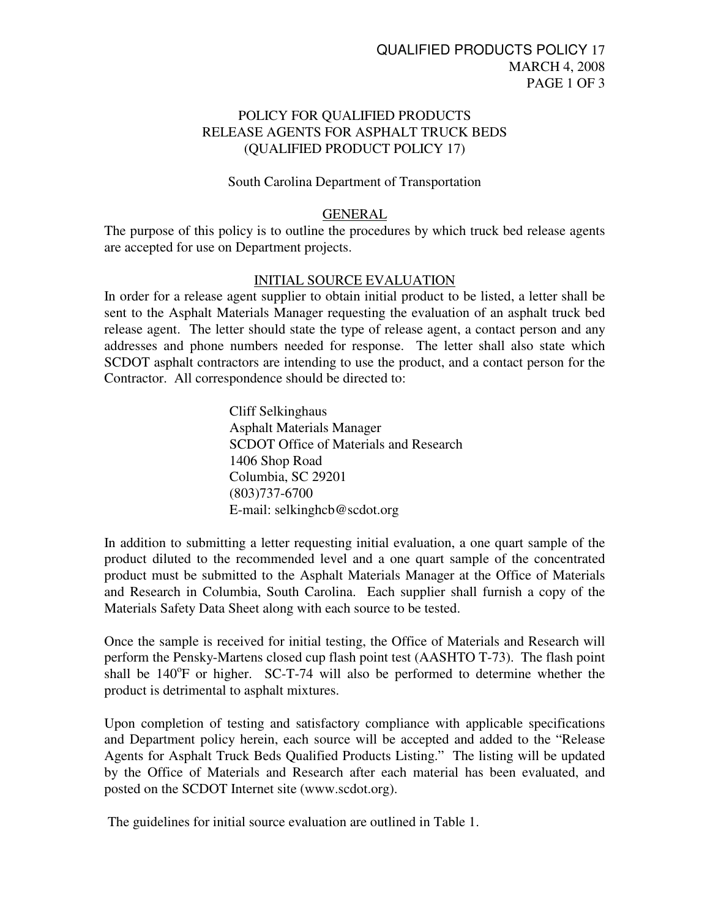## POLICY FOR QUALIFIED PRODUCTS RELEASE AGENTS FOR ASPHALT TRUCK BEDS (QUALIFIED PRODUCT POLICY 17)

### South Carolina Department of Transportation

#### GENERAL

The purpose of this policy is to outline the procedures by which truck bed release agents are accepted for use on Department projects.

### INITIAL SOURCE EVALUATION

In order for a release agent supplier to obtain initial product to be listed, a letter shall be sent to the Asphalt Materials Manager requesting the evaluation of an asphalt truck bed release agent. The letter should state the type of release agent, a contact person and any addresses and phone numbers needed for response. The letter shall also state which SCDOT asphalt contractors are intending to use the product, and a contact person for the Contractor. All correspondence should be directed to:

> Cliff Selkinghaus Asphalt Materials Manager SCDOT Office of Materials and Research 1406 Shop Road Columbia, SC 29201 (803)737-6700 E-mail: selkinghcb@scdot.org

In addition to submitting a letter requesting initial evaluation, a one quart sample of the product diluted to the recommended level and a one quart sample of the concentrated product must be submitted to the Asphalt Materials Manager at the Office of Materials and Research in Columbia, South Carolina. Each supplier shall furnish a copy of the Materials Safety Data Sheet along with each source to be tested.

Once the sample is received for initial testing, the Office of Materials and Research will perform the Pensky-Martens closed cup flash point test (AASHTO T-73). The flash point shall be  $140^{\circ}$ F or higher. SC-T-74 will also be performed to determine whether the product is detrimental to asphalt mixtures.

Upon completion of testing and satisfactory compliance with applicable specifications and Department policy herein, each source will be accepted and added to the "Release Agents for Asphalt Truck Beds Qualified Products Listing." The listing will be updated by the Office of Materials and Research after each material has been evaluated, and posted on the SCDOT Internet site (www.scdot.org).

The guidelines for initial source evaluation are outlined in Table 1.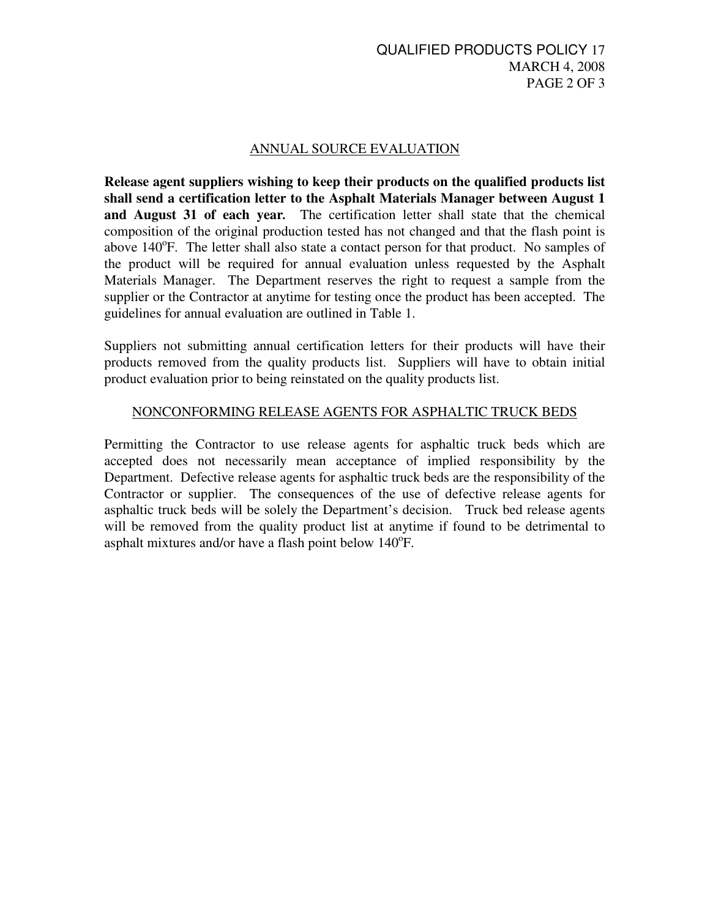## ANNUAL SOURCE EVALUATION

**Release agent suppliers wishing to keep their products on the qualified products list shall send a certification letter to the Asphalt Materials Manager between August 1 and August 31 of each year***.* The certification letter shall state that the chemical composition of the original production tested has not changed and that the flash point is above 140°F. The letter shall also state a contact person for that product. No samples of the product will be required for annual evaluation unless requested by the Asphalt Materials Manager. The Department reserves the right to request a sample from the supplier or the Contractor at anytime for testing once the product has been accepted. The guidelines for annual evaluation are outlined in Table 1.

Suppliers not submitting annual certification letters for their products will have their products removed from the quality products list. Suppliers will have to obtain initial product evaluation prior to being reinstated on the quality products list.

## NONCONFORMING RELEASE AGENTS FOR ASPHALTIC TRUCK BEDS

Permitting the Contractor to use release agents for asphaltic truck beds which are accepted does not necessarily mean acceptance of implied responsibility by the Department. Defective release agents for asphaltic truck beds are the responsibility of the Contractor or supplier. The consequences of the use of defective release agents for asphaltic truck beds will be solely the Department's decision. Truck bed release agents will be removed from the quality product list at anytime if found to be detrimental to asphalt mixtures and/or have a flash point below 140°F.